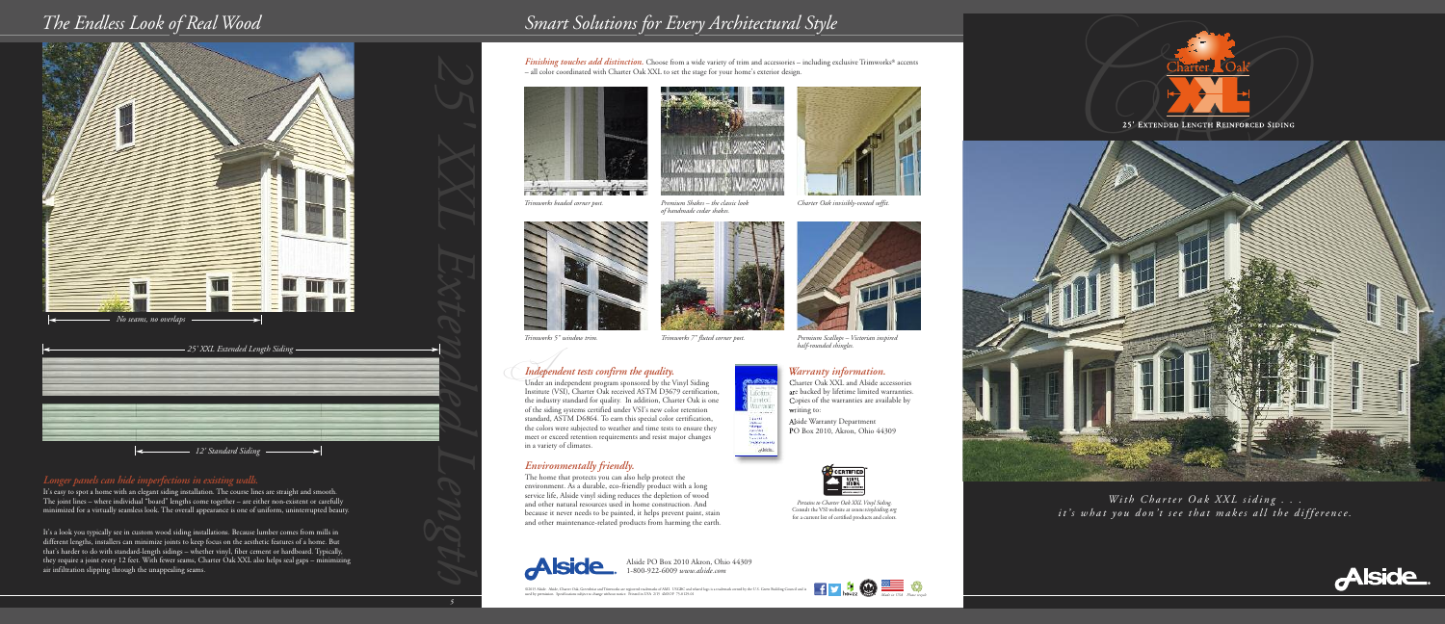



*Warranty information.* Charter Oak XXL and Alside accessories are backed by lifetime limited warranties. Copies of the warranties are available by writing to:

Alside Warranty Department PO Box 2010, Akron, Ohio 44309



Alside PO Box 2010 Akron, Ohio 44309 1-800-922-6009 *www.alside.com*

# *I Independent tests confirm the quality.*

## *The Endless Look of Real Wood Smart Solutions for Every Architectural Style*

*Pertains to Charter Oak XXL Vinyl Siding.* Consult the VSI website at *www.vinylsiding.org* for a current list of certified products and colors.



Under an independent program sponsored by the Vinyl Siding Institute (VSI), Charter Oak received ASTM D3679 certification, the industry standard for quality. In addition, Charter Oak is one of the siding systems certified under VSI's new color retention standard, ASTM D6864. To earn this special color certification, the colors were subjected to weather and time tests to ensure they meet or exceed retention requirements and resist major changes in a variety of climates.

### *Environmentally friendly.*

The home that protects you can also help protect the environment. As a durable, eco-friendly product with a long service life, Alside vinyl siding reduces the depletion of wood and other natural resources used in home construction. And because it never needs to be painted, it helps prevent paint, stain and other maintenance-related products from harming the earth.







*Trimworks beaded corner post.*





*Finishing touches add distinction.* Choose from a wide variety of trim and accessories – including exclusive Trimworks® accents – all color coordinated with Charter Oak XXL to set the stage for your home's exterior design.





*Premium Shakes – the classic look of handmade cedar shakes.*

*Charter Oak invisibly-vented soffit.*





**Kuditeria** fetim irant<br>F



*Trimworks 5" window trim. Trimworks 7" fluted corner post. Premium Scallops – Victorian inspired*

*half-rounded shingles.*

### *Longer panels can hide imperfections in existing walls.*

It's easy to spot a home with an elegant siding installation. The course lines are straight and smooth. The joint lines – where individual "board" lengths come together – are either non-existent or carefully minimized for a virtually seamless look. The overall appearance is one of uniform, uninterrupted beauty.

It's a look you typically see in custom wood siding installations. Because lumber comes from mills in different lengths, installers can minimize joints to keep focus on the aesthetic features of a home. But that's harder to do with standard-length sidings – whether vinyl, fiber cement or hardboard. Typically, they require a joint every 12 feet. With fewer seams, Charter Oak XXL also helps seal gaps – minimizing air infiltration slipping through the unappealing seams.